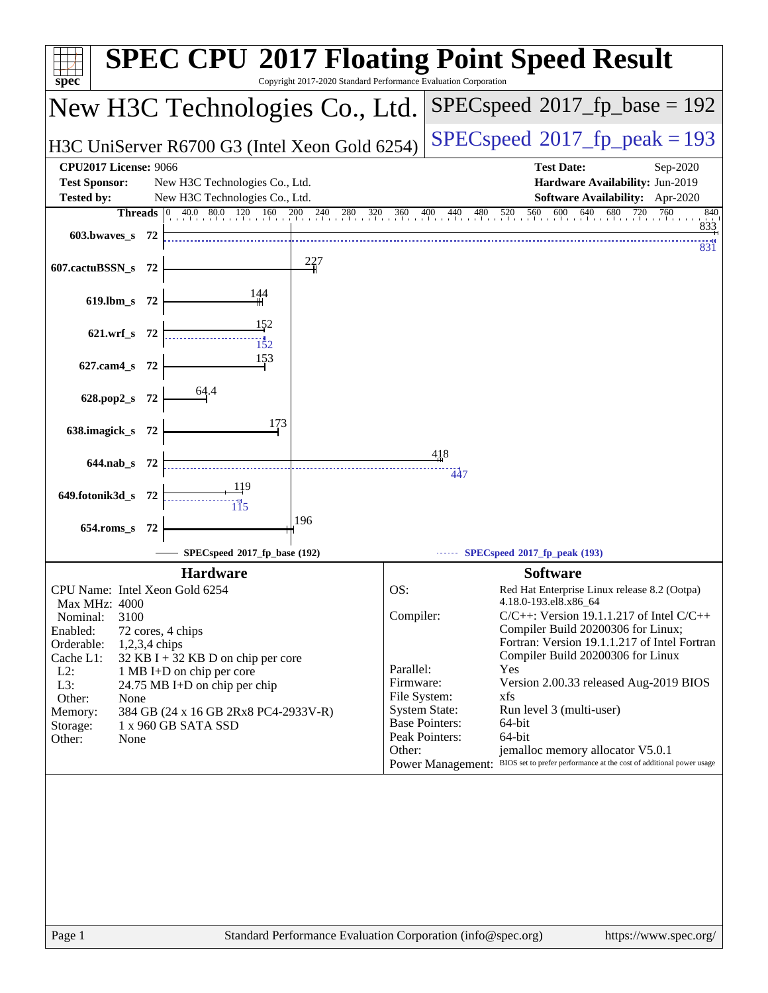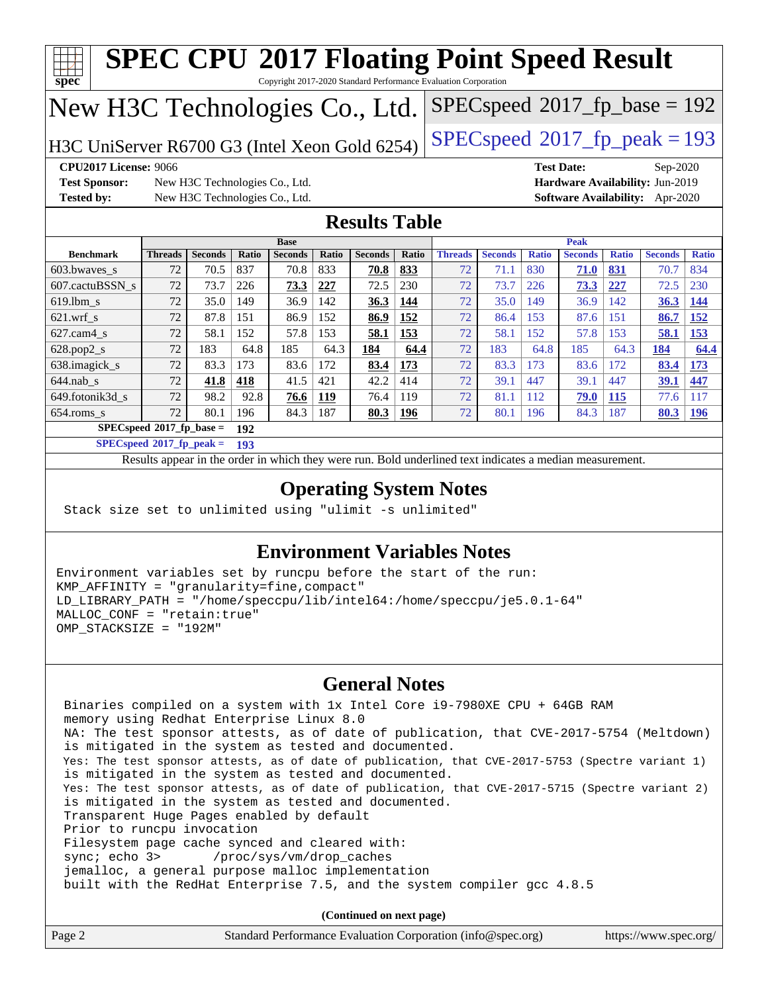| $SPEC speed^{\circ}2017$ [p_base = 192<br>New H3C Technologies Co., Ltd.                                 |                              |      |              |                                |              |                |              |                |                |              |                   |              |                                        |              |
|----------------------------------------------------------------------------------------------------------|------------------------------|------|--------------|--------------------------------|--------------|----------------|--------------|----------------|----------------|--------------|-------------------|--------------|----------------------------------------|--------------|
| $SPEC speed^{\circ}2017$ _fp_peak = 193<br>H3C UniServer R6700 G3 (Intel Xeon Gold 6254)                 |                              |      |              |                                |              |                |              |                |                |              |                   |              |                                        |              |
| <b>CPU2017 License: 9066</b>                                                                             |                              |      |              |                                |              |                |              |                |                |              | <b>Test Date:</b> |              | Sep-2020                               |              |
| <b>Test Sponsor:</b>                                                                                     |                              |      |              | New H3C Technologies Co., Ltd. |              |                |              |                |                |              |                   |              | Hardware Availability: Jun-2019        |              |
| <b>Tested by:</b>                                                                                        |                              |      |              | New H3C Technologies Co., Ltd. |              |                |              |                |                |              |                   |              | <b>Software Availability:</b> Apr-2020 |              |
| <b>Results Table</b>                                                                                     |                              |      |              |                                |              |                |              |                |                |              |                   |              |                                        |              |
|                                                                                                          |                              |      |              | <b>Base</b>                    |              |                |              |                |                |              | <b>Peak</b>       |              |                                        |              |
| <b>Benchmark</b>                                                                                         | <b>Threads</b> Seconds       |      | <b>Ratio</b> | <b>Seconds</b>                 | <b>Ratio</b> | <b>Seconds</b> | <b>Ratio</b> | <b>Threads</b> | <b>Seconds</b> | <b>Ratio</b> | <b>Seconds</b>    | <b>Ratio</b> | <b>Seconds</b>                         | <b>Ratio</b> |
| 603.bwaves s                                                                                             | 72                           | 70.5 | 837          | 70.8                           | 833          | 70.8           | 833          | 72             | 71.1           | 830          | 71.0              | 831          | 70.7                                   | 834          |
| 607.cactuBSSN_s                                                                                          | 72                           | 73.7 | 226          | 73.3                           | 227          | 72.5           | 230          | 72             | 73.7           | 226          | 73.3              | 227          | 72.5                                   | 230          |
| 619.lbm s                                                                                                | 72                           | 35.0 | 149          | 36.9                           | 142          | 36.3           | 144          | 72             | 35.0           | 149          | 36.9              | 142          | 36.3                                   | 144          |
| $621.wrf$ s                                                                                              | 72                           | 87.8 | 151          | 86.9                           | 152          | 86.9           | 152          | 72             | 86.4           | 153          | 87.6              | 151          | 86.7                                   | 152          |
| $627$ .cam $4$ s                                                                                         | 72                           | 58.1 | 152          | 57.8                           | 153          | 58.1           | 153          | 72             | 58.1           | 152          | 57.8              | 153          | 58.1                                   | 153          |
| $628.pop2_s$                                                                                             | 72                           | 183  | 64.8         | 185                            | 64.3         | 184            | 64.4         | 72             | 183            | 64.8         | 185               | 64.3         | 184                                    | 64.4         |
| 638.imagick_s                                                                                            | 72                           | 83.3 | 173          | 83.6                           | 172          | 83.4           | 173          | 72             | 83.3           | 173          | 83.6              | 172          | 83.4                                   | 173          |
| $644$ .nab s                                                                                             | 72                           | 41.8 | 418          | 41.5                           | 421          | 42.2           | 414          | 72             | 39.1           | 447          | 39.1              | 447          | 39.1                                   | 447          |
| 649.fotonik3d s                                                                                          | 72                           | 98.2 | 92.8         | 76.6                           | 119          | 76.4           | 119          | 72             | 81.1           | 112          | 79.0              | <b>115</b>   | 77.6                                   | 117          |
| 654.roms_s                                                                                               | 72                           | 80.1 | 196          | 84.3                           | 187          | 80.3           | 196          | 72             | 80.1           | 196          | 84.3              | 187          | 80.3                                   | 196          |
|                                                                                                          | $SPEC speed*2017_fp\_base =$ |      | 192          |                                |              |                |              |                |                |              |                   |              |                                        |              |
|                                                                                                          | $SPECspeed*2017_fn_peak =$   |      | 193          |                                |              |                |              |                |                |              |                   |              |                                        |              |
| Results appear in the order in which they were run. Bold underlined text indicates a median measurement. |                              |      |              |                                |              |                |              |                |                |              |                   |              |                                        |              |

### **[Environment Variables Notes](http://www.spec.org/auto/cpu2017/Docs/result-fields.html#EnvironmentVariablesNotes)**

Environment variables set by runcpu before the start of the run: KMP\_AFFINITY = "granularity=fine,compact" LD\_LIBRARY\_PATH = "/home/speccpu/lib/intel64:/home/speccpu/je5.0.1-64" MALLOC\_CONF = "retain:true" OMP\_STACKSIZE = "192M"

### **[General Notes](http://www.spec.org/auto/cpu2017/Docs/result-fields.html#GeneralNotes)**

 Binaries compiled on a system with 1x Intel Core i9-7980XE CPU + 64GB RAM memory using Redhat Enterprise Linux 8.0 NA: The test sponsor attests, as of date of publication, that CVE-2017-5754 (Meltdown) is mitigated in the system as tested and documented. Yes: The test sponsor attests, as of date of publication, that CVE-2017-5753 (Spectre variant 1) is mitigated in the system as tested and documented. Yes: The test sponsor attests, as of date of publication, that CVE-2017-5715 (Spectre variant 2) is mitigated in the system as tested and documented. Transparent Huge Pages enabled by default Prior to runcpu invocation Filesystem page cache synced and cleared with: sync; echo 3> /proc/sys/vm/drop\_caches jemalloc, a general purpose malloc implementation built with the RedHat Enterprise 7.5, and the system compiler gcc 4.8.5

**(Continued on next page)**

| Page 2<br>Standard Performance Evaluation Corporation (info@spec.org) |  |  | https://www.spec.org/ |
|-----------------------------------------------------------------------|--|--|-----------------------|
|-----------------------------------------------------------------------|--|--|-----------------------|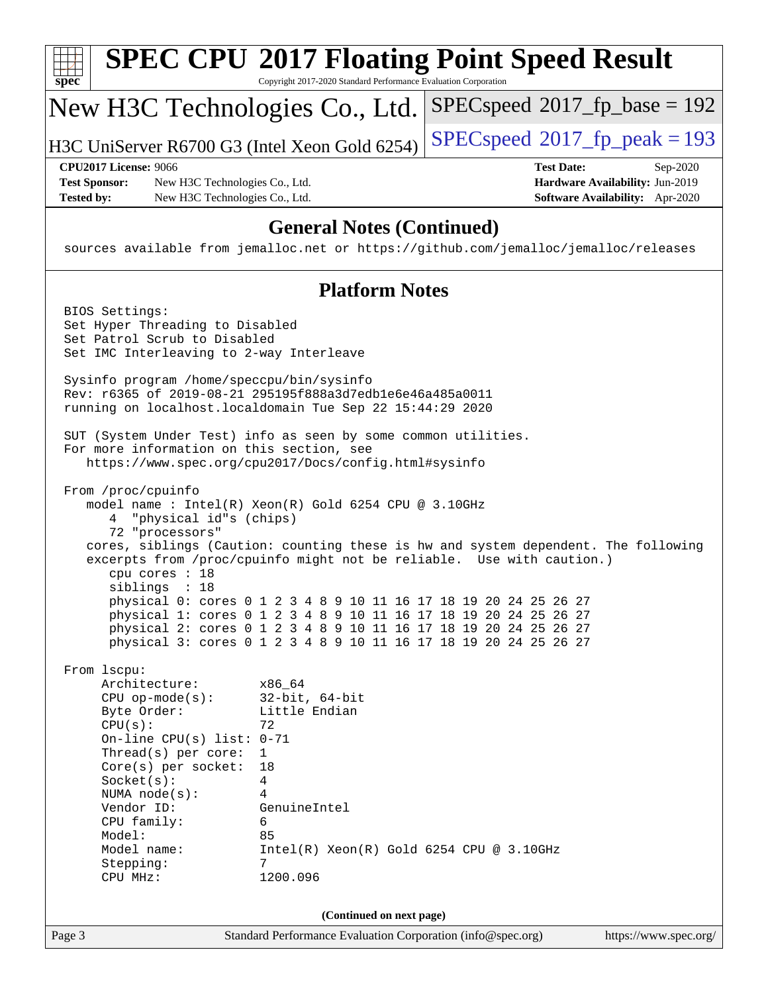| spec                                      |                                                                                                                                                                                                                                                                              | <b>SPEC CPU®2017 Floating Point Speed Result</b><br>Copyright 2017-2020 Standard Performance Evaluation Corporation                                                                                                                                                          |                                          |                                                                                |
|-------------------------------------------|------------------------------------------------------------------------------------------------------------------------------------------------------------------------------------------------------------------------------------------------------------------------------|------------------------------------------------------------------------------------------------------------------------------------------------------------------------------------------------------------------------------------------------------------------------------|------------------------------------------|--------------------------------------------------------------------------------|
|                                           |                                                                                                                                                                                                                                                                              | New H3C Technologies Co., Ltd.                                                                                                                                                                                                                                               | $SPEC speed^{\circ}2017\_fp\_base = 192$ |                                                                                |
|                                           |                                                                                                                                                                                                                                                                              | H3C UniServer R6700 G3 (Intel Xeon Gold 6254)                                                                                                                                                                                                                                | $SPEC speed^{\circ}2017$ fp peak = 193   |                                                                                |
| <b>Test Sponsor:</b><br><b>Tested by:</b> | <b>CPU2017 License: 9066</b><br>New H3C Technologies Co., Ltd.<br>New H3C Technologies Co., Ltd.                                                                                                                                                                             |                                                                                                                                                                                                                                                                              | <b>Test Date:</b>                        | Sep-2020<br>Hardware Availability: Jun-2019<br>Software Availability: Apr-2020 |
|                                           |                                                                                                                                                                                                                                                                              | <b>General Notes (Continued)</b><br>sources available from jemalloc.net or https://github.com/jemalloc/jemalloc/releases                                                                                                                                                     |                                          |                                                                                |
|                                           |                                                                                                                                                                                                                                                                              | <b>Platform Notes</b>                                                                                                                                                                                                                                                        |                                          |                                                                                |
|                                           | BIOS Settings:<br>Set Hyper Threading to Disabled<br>Set Patrol Scrub to Disabled<br>Set IMC Interleaving to 2-way Interleave                                                                                                                                                |                                                                                                                                                                                                                                                                              |                                          |                                                                                |
|                                           | Sysinfo program /home/speccpu/bin/sysinfo                                                                                                                                                                                                                                    | Rev: r6365 of 2019-08-21 295195f888a3d7edble6e46a485a0011<br>running on localhost.localdomain Tue Sep 22 15:44:29 2020                                                                                                                                                       |                                          |                                                                                |
|                                           | For more information on this section, see                                                                                                                                                                                                                                    | SUT (System Under Test) info as seen by some common utilities.<br>https://www.spec.org/cpu2017/Docs/config.html#sysinfo                                                                                                                                                      |                                          |                                                                                |
|                                           | From /proc/cpuinfo<br>"physical id"s (chips)<br>4<br>72 "processors"<br>cpu cores : 18                                                                                                                                                                                       | model name : Intel(R) Xeon(R) Gold 6254 CPU @ 3.10GHz<br>cores, siblings (Caution: counting these is hw and system dependent. The following<br>excerpts from /proc/cpuinfo might not be reliable. Use with caution.)                                                         |                                          |                                                                                |
|                                           | siblings : 18                                                                                                                                                                                                                                                                | physical 0: cores 0 1 2 3 4 8 9 10 11 16 17 18 19 20 24 25 26 27<br>physical 1: cores 0 1 2 3 4 8 9 10 11 16 17 18 19 20 24 25 26 27<br>physical 2: cores 0 1 2 3 4 8 9 10 11 16 17 18 19 20 24 25 26 27<br>physical 3: cores 0 1 2 3 4 8 9 10 11 16 17 18 19 20 24 25 26 27 |                                          |                                                                                |
|                                           | From 1scpu:<br>Architecture:<br>$CPU$ op-mode( $s$ ):<br>Byte Order:<br>CPU(s):<br>On-line CPU(s) list: $0-71$<br>Thread(s) per core:<br>$Core(s)$ per socket:<br>Socket(s):<br>NUMA node(s):<br>Vendor ID:<br>CPU family:<br>Model:<br>Model name:<br>Stepping:<br>CPU MHz: | x86_64<br>$32$ -bit, $64$ -bit<br>Little Endian<br>72<br>1<br>18<br>4<br>4<br>GenuineIntel<br>6<br>85<br>$Intel(R) Xeon(R) Gold 6254 CPU @ 3.10GHz$<br>7<br>1200.096                                                                                                         |                                          |                                                                                |
| Page 3                                    |                                                                                                                                                                                                                                                                              | (Continued on next page)<br>Standard Performance Evaluation Corporation (info@spec.org)                                                                                                                                                                                      |                                          | https://www.spec.org/                                                          |
|                                           |                                                                                                                                                                                                                                                                              |                                                                                                                                                                                                                                                                              |                                          |                                                                                |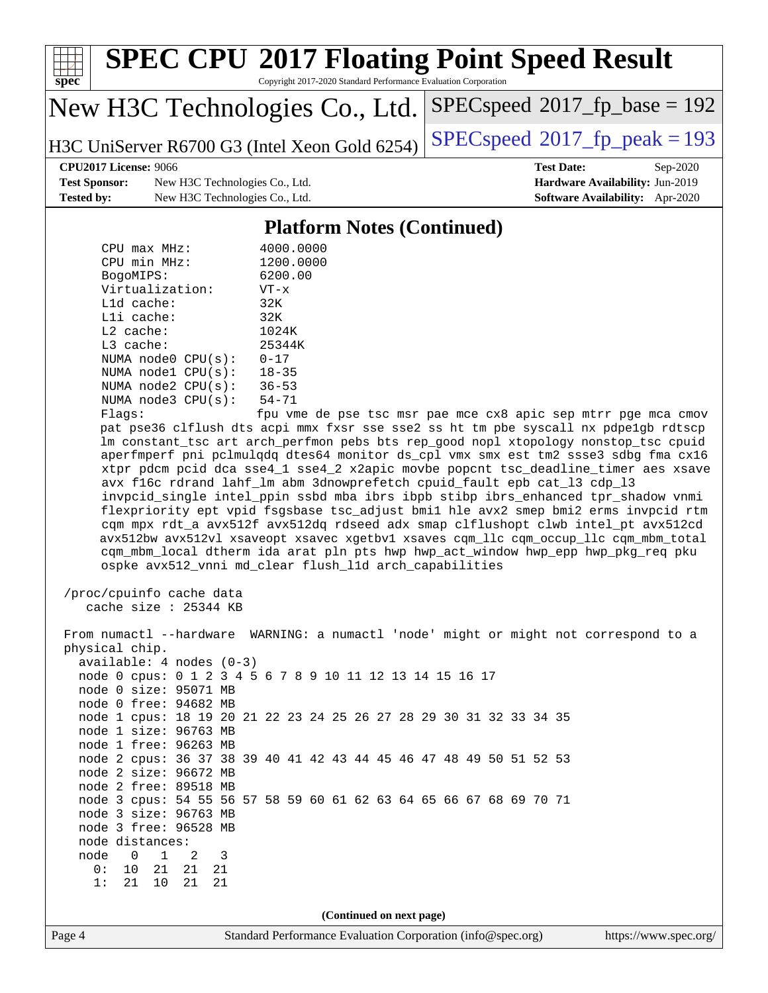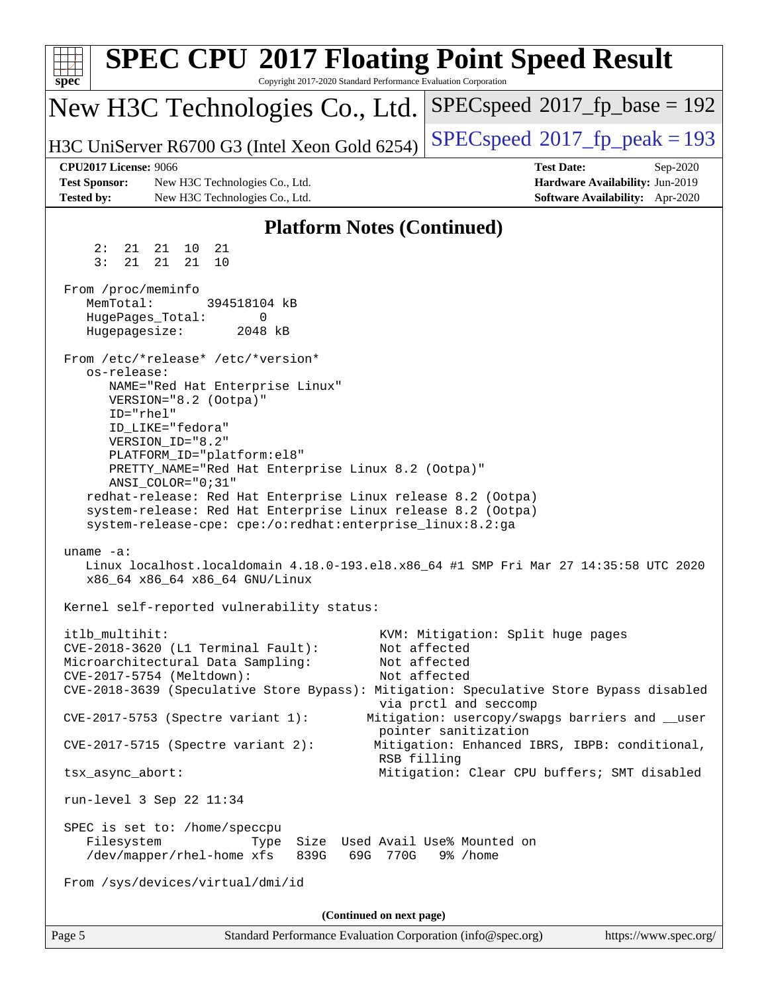| $SPEC speed^{\circ}2017$ _fp_base = 192<br>New H3C Technologies Co., Ltd.<br>$SPEC speed^{\circ}2017$ fp peak = 193<br>H3C UniServer R6700 G3 (Intel Xeon Gold 6254)<br><b>CPU2017 License: 9066</b><br><b>Test Date:</b><br>Sep-2020<br><b>Test Sponsor:</b><br>Hardware Availability: Jun-2019<br>New H3C Technologies Co., Ltd.<br>Software Availability: Apr-2020<br><b>Tested by:</b><br>New H3C Technologies Co., Ltd.<br><b>Platform Notes (Continued)</b><br>21<br>2:<br>21<br>21 10<br>3:<br>21<br>21<br>21<br>10<br>From /proc/meminfo<br>MemTotal:<br>394518104 kB<br>HugePages_Total:<br>0<br>Hugepagesize:<br>2048 kB<br>From /etc/*release* /etc/*version*<br>os-release:<br>NAME="Red Hat Enterprise Linux"<br>VERSION="8.2 (Ootpa)"<br>ID="rhel"<br>ID_LIKE="fedora"<br>VERSION_ID="8.2"<br>PLATFORM_ID="platform:el8"<br>PRETTY_NAME="Red Hat Enterprise Linux 8.2 (Ootpa)"<br>ANSI_COLOR="0;31"<br>redhat-release: Red Hat Enterprise Linux release 8.2 (Ootpa)<br>system-release: Red Hat Enterprise Linux release 8.2 (Ootpa)<br>system-release-cpe: cpe:/o:redhat:enterprise_linux:8.2:ga<br>uname $-a$ :<br>Linux localhost.localdomain 4.18.0-193.el8.x86_64 #1 SMP Fri Mar 27 14:35:58 UTC 2020<br>x86_64 x86_64 x86_64 GNU/Linux<br>Kernel self-reported vulnerability status:<br>itlb_multihit:<br>KVM: Mitigation: Split huge pages<br>CVE-2018-3620 (L1 Terminal Fault):<br>Not affected<br>Microarchitectural Data Sampling:<br>Not affected<br>Not affected<br>CVE-2017-5754 (Meltdown):<br>CVE-2018-3639 (Speculative Store Bypass): Mitigation: Speculative Store Bypass disabled<br>via prctl and seccomp<br>CVE-2017-5753 (Spectre variant 1):<br>Mitigation: usercopy/swapgs barriers and __user<br>pointer sanitization<br>$CVE-2017-5715$ (Spectre variant 2):<br>Mitigation: Enhanced IBRS, IBPB: conditional,<br>RSB filling<br>Mitigation: Clear CPU buffers; SMT disabled<br>tsx_async_abort:<br>run-level 3 Sep 22 11:34<br>SPEC is set to: /home/speccpu<br>Filesystem<br>Size Used Avail Use% Mounted on<br>Type<br>/dev/mapper/rhel-home xfs<br>839G<br>69G 770G<br>9% /home<br>From /sys/devices/virtual/dmi/id<br>(Continued on next page)<br>Page 5<br>Standard Performance Evaluation Corporation (info@spec.org)<br>https://www.spec.org/ | <b>SPEC CPU®2017 Floating Point Speed Result</b><br>spec <sup>®</sup><br>Copyright 2017-2020 Standard Performance Evaluation Corporation |  |
|---------------------------------------------------------------------------------------------------------------------------------------------------------------------------------------------------------------------------------------------------------------------------------------------------------------------------------------------------------------------------------------------------------------------------------------------------------------------------------------------------------------------------------------------------------------------------------------------------------------------------------------------------------------------------------------------------------------------------------------------------------------------------------------------------------------------------------------------------------------------------------------------------------------------------------------------------------------------------------------------------------------------------------------------------------------------------------------------------------------------------------------------------------------------------------------------------------------------------------------------------------------------------------------------------------------------------------------------------------------------------------------------------------------------------------------------------------------------------------------------------------------------------------------------------------------------------------------------------------------------------------------------------------------------------------------------------------------------------------------------------------------------------------------------------------------------------------------------------------------------------------------------------------------------------------------------------------------------------------------------------------------------------------------------------------------------------------------------------------------------------------------------------------------------------------------------------------------------------------------------------------------------------------------------|------------------------------------------------------------------------------------------------------------------------------------------|--|
|                                                                                                                                                                                                                                                                                                                                                                                                                                                                                                                                                                                                                                                                                                                                                                                                                                                                                                                                                                                                                                                                                                                                                                                                                                                                                                                                                                                                                                                                                                                                                                                                                                                                                                                                                                                                                                                                                                                                                                                                                                                                                                                                                                                                                                                                                             |                                                                                                                                          |  |
|                                                                                                                                                                                                                                                                                                                                                                                                                                                                                                                                                                                                                                                                                                                                                                                                                                                                                                                                                                                                                                                                                                                                                                                                                                                                                                                                                                                                                                                                                                                                                                                                                                                                                                                                                                                                                                                                                                                                                                                                                                                                                                                                                                                                                                                                                             |                                                                                                                                          |  |
|                                                                                                                                                                                                                                                                                                                                                                                                                                                                                                                                                                                                                                                                                                                                                                                                                                                                                                                                                                                                                                                                                                                                                                                                                                                                                                                                                                                                                                                                                                                                                                                                                                                                                                                                                                                                                                                                                                                                                                                                                                                                                                                                                                                                                                                                                             |                                                                                                                                          |  |
|                                                                                                                                                                                                                                                                                                                                                                                                                                                                                                                                                                                                                                                                                                                                                                                                                                                                                                                                                                                                                                                                                                                                                                                                                                                                                                                                                                                                                                                                                                                                                                                                                                                                                                                                                                                                                                                                                                                                                                                                                                                                                                                                                                                                                                                                                             |                                                                                                                                          |  |
|                                                                                                                                                                                                                                                                                                                                                                                                                                                                                                                                                                                                                                                                                                                                                                                                                                                                                                                                                                                                                                                                                                                                                                                                                                                                                                                                                                                                                                                                                                                                                                                                                                                                                                                                                                                                                                                                                                                                                                                                                                                                                                                                                                                                                                                                                             |                                                                                                                                          |  |
|                                                                                                                                                                                                                                                                                                                                                                                                                                                                                                                                                                                                                                                                                                                                                                                                                                                                                                                                                                                                                                                                                                                                                                                                                                                                                                                                                                                                                                                                                                                                                                                                                                                                                                                                                                                                                                                                                                                                                                                                                                                                                                                                                                                                                                                                                             |                                                                                                                                          |  |
|                                                                                                                                                                                                                                                                                                                                                                                                                                                                                                                                                                                                                                                                                                                                                                                                                                                                                                                                                                                                                                                                                                                                                                                                                                                                                                                                                                                                                                                                                                                                                                                                                                                                                                                                                                                                                                                                                                                                                                                                                                                                                                                                                                                                                                                                                             |                                                                                                                                          |  |
|                                                                                                                                                                                                                                                                                                                                                                                                                                                                                                                                                                                                                                                                                                                                                                                                                                                                                                                                                                                                                                                                                                                                                                                                                                                                                                                                                                                                                                                                                                                                                                                                                                                                                                                                                                                                                                                                                                                                                                                                                                                                                                                                                                                                                                                                                             |                                                                                                                                          |  |
|                                                                                                                                                                                                                                                                                                                                                                                                                                                                                                                                                                                                                                                                                                                                                                                                                                                                                                                                                                                                                                                                                                                                                                                                                                                                                                                                                                                                                                                                                                                                                                                                                                                                                                                                                                                                                                                                                                                                                                                                                                                                                                                                                                                                                                                                                             |                                                                                                                                          |  |
|                                                                                                                                                                                                                                                                                                                                                                                                                                                                                                                                                                                                                                                                                                                                                                                                                                                                                                                                                                                                                                                                                                                                                                                                                                                                                                                                                                                                                                                                                                                                                                                                                                                                                                                                                                                                                                                                                                                                                                                                                                                                                                                                                                                                                                                                                             |                                                                                                                                          |  |
|                                                                                                                                                                                                                                                                                                                                                                                                                                                                                                                                                                                                                                                                                                                                                                                                                                                                                                                                                                                                                                                                                                                                                                                                                                                                                                                                                                                                                                                                                                                                                                                                                                                                                                                                                                                                                                                                                                                                                                                                                                                                                                                                                                                                                                                                                             |                                                                                                                                          |  |
|                                                                                                                                                                                                                                                                                                                                                                                                                                                                                                                                                                                                                                                                                                                                                                                                                                                                                                                                                                                                                                                                                                                                                                                                                                                                                                                                                                                                                                                                                                                                                                                                                                                                                                                                                                                                                                                                                                                                                                                                                                                                                                                                                                                                                                                                                             |                                                                                                                                          |  |
|                                                                                                                                                                                                                                                                                                                                                                                                                                                                                                                                                                                                                                                                                                                                                                                                                                                                                                                                                                                                                                                                                                                                                                                                                                                                                                                                                                                                                                                                                                                                                                                                                                                                                                                                                                                                                                                                                                                                                                                                                                                                                                                                                                                                                                                                                             |                                                                                                                                          |  |
|                                                                                                                                                                                                                                                                                                                                                                                                                                                                                                                                                                                                                                                                                                                                                                                                                                                                                                                                                                                                                                                                                                                                                                                                                                                                                                                                                                                                                                                                                                                                                                                                                                                                                                                                                                                                                                                                                                                                                                                                                                                                                                                                                                                                                                                                                             |                                                                                                                                          |  |
|                                                                                                                                                                                                                                                                                                                                                                                                                                                                                                                                                                                                                                                                                                                                                                                                                                                                                                                                                                                                                                                                                                                                                                                                                                                                                                                                                                                                                                                                                                                                                                                                                                                                                                                                                                                                                                                                                                                                                                                                                                                                                                                                                                                                                                                                                             |                                                                                                                                          |  |
|                                                                                                                                                                                                                                                                                                                                                                                                                                                                                                                                                                                                                                                                                                                                                                                                                                                                                                                                                                                                                                                                                                                                                                                                                                                                                                                                                                                                                                                                                                                                                                                                                                                                                                                                                                                                                                                                                                                                                                                                                                                                                                                                                                                                                                                                                             |                                                                                                                                          |  |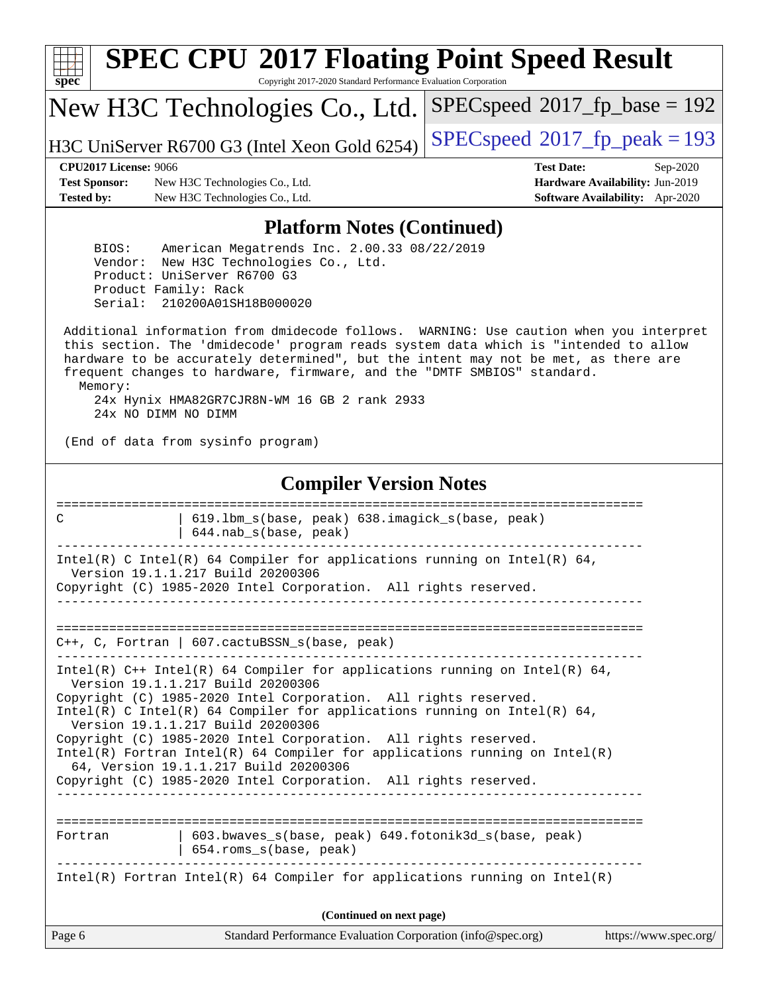| s<br>æ<br>n<br>C<br>c |  |  |  |  |  |
|-----------------------|--|--|--|--|--|

# **[SPEC CPU](http://www.spec.org/auto/cpu2017/Docs/result-fields.html#SPECCPU2017FloatingPointSpeedResult)[2017 Floating Point Speed Result](http://www.spec.org/auto/cpu2017/Docs/result-fields.html#SPECCPU2017FloatingPointSpeedResult)**

Copyright 2017-2020 Standard Performance Evaluation Corporation

New H3C Technologies Co., Ltd.

H3C UniServer R6700 G3 (Intel Xeon Gold 6254) [SPECspeed](http://www.spec.org/auto/cpu2017/Docs/result-fields.html#SPECspeed2017fppeak)<sup>®</sup>[2017\\_fp\\_peak = 1](http://www.spec.org/auto/cpu2017/Docs/result-fields.html#SPECspeed2017fppeak)93

[SPECspeed](http://www.spec.org/auto/cpu2017/Docs/result-fields.html#SPECspeed2017fpbase)<sup>®</sup>2017 fp base = 192

**[Test Sponsor:](http://www.spec.org/auto/cpu2017/Docs/result-fields.html#TestSponsor)** New H3C Technologies Co., Ltd. **[Hardware Availability:](http://www.spec.org/auto/cpu2017/Docs/result-fields.html#HardwareAvailability)** Jun-2019 **[Tested by:](http://www.spec.org/auto/cpu2017/Docs/result-fields.html#Testedby)** New H3C Technologies Co., Ltd. **[Software Availability:](http://www.spec.org/auto/cpu2017/Docs/result-fields.html#SoftwareAvailability)** Apr-2020

**[CPU2017 License:](http://www.spec.org/auto/cpu2017/Docs/result-fields.html#CPU2017License)** 9066 **[Test Date:](http://www.spec.org/auto/cpu2017/Docs/result-fields.html#TestDate)** Sep-2020

#### **[Platform Notes \(Continued\)](http://www.spec.org/auto/cpu2017/Docs/result-fields.html#PlatformNotes)**

 BIOS: American Megatrends Inc. 2.00.33 08/22/2019 Vendor: New H3C Technologies Co., Ltd. Product: UniServer R6700 G3 Product Family: Rack Serial: 210200A01SH18B000020

 Additional information from dmidecode follows. WARNING: Use caution when you interpret this section. The 'dmidecode' program reads system data which is "intended to allow hardware to be accurately determined", but the intent may not be met, as there are frequent changes to hardware, firmware, and the "DMTF SMBIOS" standard. Memory: 24x Hynix HMA82GR7CJR8N-WM 16 GB 2 rank 2933

24x NO DIMM NO DIMM

(End of data from sysinfo program)

#### **[Compiler Version Notes](http://www.spec.org/auto/cpu2017/Docs/result-fields.html#CompilerVersionNotes)**

| 619.1bm s(base, peak) 638.imagick s(base, peak)<br>C<br>644.nab_s(base, peak)                                                                                                          |  |
|----------------------------------------------------------------------------------------------------------------------------------------------------------------------------------------|--|
| Intel(R) C Intel(R) 64 Compiler for applications running on Intel(R) 64,<br>Version 19.1.1.217 Build 20200306                                                                          |  |
| Copyright (C) 1985-2020 Intel Corporation. All rights reserved.                                                                                                                        |  |
| $C++$ , C, Fortran   607.cactuBSSN_s(base, peak)                                                                                                                                       |  |
| Intel(R) $C++$ Intel(R) 64 Compiler for applications running on Intel(R) 64,<br>Version 19.1.1.217 Build 20200306                                                                      |  |
| Copyright (C) 1985-2020 Intel Corporation. All rights reserved.<br>Intel(R) C Intel(R) 64 Compiler for applications running on Intel(R) 64,<br>Version 19.1.1.217 Build 20200306       |  |
| Copyright (C) 1985-2020 Intel Corporation. All rights reserved.<br>Intel(R) Fortran Intel(R) 64 Compiler for applications running on Intel(R)<br>64, Version 19.1.1.217 Build 20200306 |  |
| Copyright (C) 1985-2020 Intel Corporation. All rights reserved.                                                                                                                        |  |
| 603.bwaves s(base, peak) 649.fotonik3d s(base, peak)<br>Fortran                                                                                                                        |  |
| 654.roms_s(base, peak)                                                                                                                                                                 |  |
| Intel(R) Fortran Intel(R) 64 Compiler for applications running on Intel(R)                                                                                                             |  |
| (Continued on next page)                                                                                                                                                               |  |
| Page 6<br>Standard Performance Evaluation Corporation (info@spec.org)<br>https://www.spec.org/                                                                                         |  |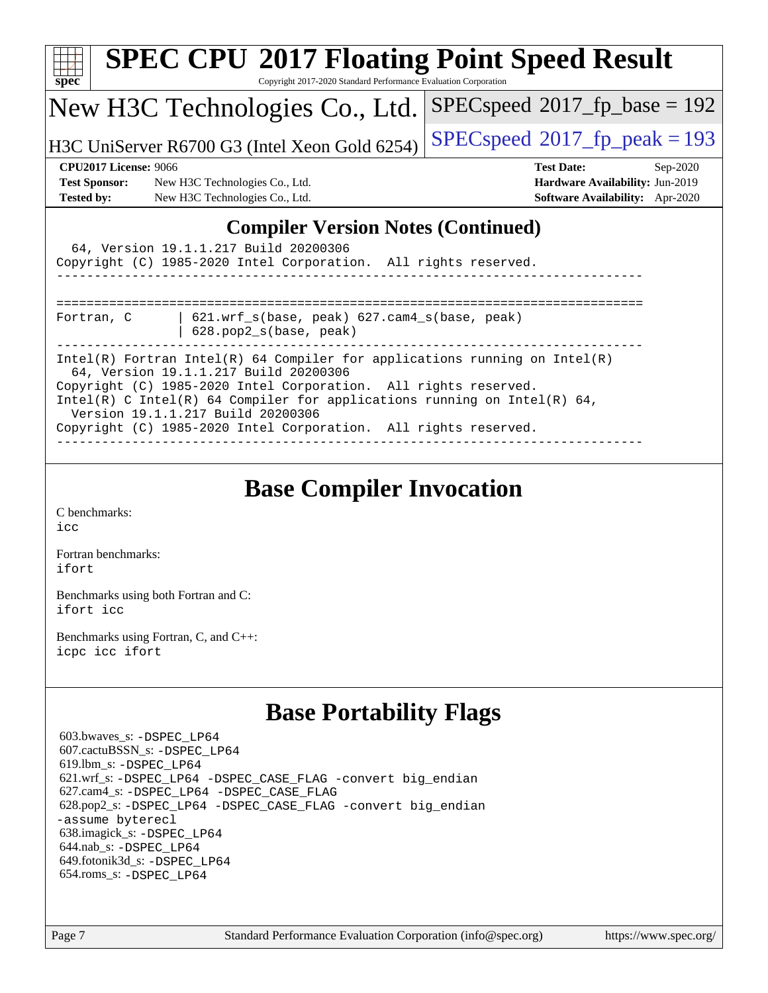| <b>SPEC CPU®2017 Floating Point Speed Result</b>                                                                                                                                                                                                                                                                                                                           |                                         |  |  |  |  |
|----------------------------------------------------------------------------------------------------------------------------------------------------------------------------------------------------------------------------------------------------------------------------------------------------------------------------------------------------------------------------|-----------------------------------------|--|--|--|--|
| Spec<br>Copyright 2017-2020 Standard Performance Evaluation Corporation                                                                                                                                                                                                                                                                                                    |                                         |  |  |  |  |
| New H3C Technologies Co., Ltd.                                                                                                                                                                                                                                                                                                                                             | $SPEC speed^{\circ}2017$ fp base = 192  |  |  |  |  |
| H3C UniServer R6700 G3 (Intel Xeon Gold 6254)                                                                                                                                                                                                                                                                                                                              | $SPEC speed^{\circ}2017$ _fp_peak = 193 |  |  |  |  |
| <b>CPU2017 License: 9066</b>                                                                                                                                                                                                                                                                                                                                               | <b>Test Date:</b><br>$Sep-2020$         |  |  |  |  |
| <b>Test Sponsor:</b><br>New H3C Technologies Co., Ltd.                                                                                                                                                                                                                                                                                                                     | Hardware Availability: Jun-2019         |  |  |  |  |
| <b>Tested by:</b><br>New H3C Technologies Co., Ltd.                                                                                                                                                                                                                                                                                                                        | <b>Software Availability:</b> Apr-2020  |  |  |  |  |
| 64, Version 19.1.1.217 Build 20200306<br>Copyright (C) 1985-2020 Intel Corporation. All rights reserved.                                                                                                                                                                                                                                                                   |                                         |  |  |  |  |
| 621.wrf_s(base, peak) 627.cam4_s(base, peak)<br>Fortran, C<br>628.pop2_s(base, peak)                                                                                                                                                                                                                                                                                       |                                         |  |  |  |  |
| Intel(R) Fortran Intel(R) 64 Compiler for applications running on Intel(R)<br>64, Version 19.1.1.217 Build 20200306<br>Copyright (C) 1985-2020 Intel Corporation. All rights reserved.<br>Intel(R) C Intel(R) 64 Compiler for applications running on Intel(R) 64,<br>Version 19.1.1.217 Build 20200306<br>Copyright (C) 1985-2020 Intel Corporation. All rights reserved. |                                         |  |  |  |  |

## **[Base Compiler Invocation](http://www.spec.org/auto/cpu2017/Docs/result-fields.html#BaseCompilerInvocation)**

[C benchmarks](http://www.spec.org/auto/cpu2017/Docs/result-fields.html#Cbenchmarks): [icc](http://www.spec.org/cpu2017/results/res2020q4/cpu2017-20200927-24034.flags.html#user_CCbase_intel_icc_66fc1ee009f7361af1fbd72ca7dcefbb700085f36577c54f309893dd4ec40d12360134090235512931783d35fd58c0460139e722d5067c5574d8eaf2b3e37e92)

[Fortran benchmarks](http://www.spec.org/auto/cpu2017/Docs/result-fields.html#Fortranbenchmarks): [ifort](http://www.spec.org/cpu2017/results/res2020q4/cpu2017-20200927-24034.flags.html#user_FCbase_intel_ifort_8111460550e3ca792625aed983ce982f94888b8b503583aa7ba2b8303487b4d8a21a13e7191a45c5fd58ff318f48f9492884d4413fa793fd88dd292cad7027ca)

[Benchmarks using both Fortran and C](http://www.spec.org/auto/cpu2017/Docs/result-fields.html#BenchmarksusingbothFortranandC): [ifort](http://www.spec.org/cpu2017/results/res2020q4/cpu2017-20200927-24034.flags.html#user_CC_FCbase_intel_ifort_8111460550e3ca792625aed983ce982f94888b8b503583aa7ba2b8303487b4d8a21a13e7191a45c5fd58ff318f48f9492884d4413fa793fd88dd292cad7027ca) [icc](http://www.spec.org/cpu2017/results/res2020q4/cpu2017-20200927-24034.flags.html#user_CC_FCbase_intel_icc_66fc1ee009f7361af1fbd72ca7dcefbb700085f36577c54f309893dd4ec40d12360134090235512931783d35fd58c0460139e722d5067c5574d8eaf2b3e37e92)

[Benchmarks using Fortran, C, and C++:](http://www.spec.org/auto/cpu2017/Docs/result-fields.html#BenchmarksusingFortranCandCXX) [icpc](http://www.spec.org/cpu2017/results/res2020q4/cpu2017-20200927-24034.flags.html#user_CC_CXX_FCbase_intel_icpc_c510b6838c7f56d33e37e94d029a35b4a7bccf4766a728ee175e80a419847e808290a9b78be685c44ab727ea267ec2f070ec5dc83b407c0218cded6866a35d07) [icc](http://www.spec.org/cpu2017/results/res2020q4/cpu2017-20200927-24034.flags.html#user_CC_CXX_FCbase_intel_icc_66fc1ee009f7361af1fbd72ca7dcefbb700085f36577c54f309893dd4ec40d12360134090235512931783d35fd58c0460139e722d5067c5574d8eaf2b3e37e92) [ifort](http://www.spec.org/cpu2017/results/res2020q4/cpu2017-20200927-24034.flags.html#user_CC_CXX_FCbase_intel_ifort_8111460550e3ca792625aed983ce982f94888b8b503583aa7ba2b8303487b4d8a21a13e7191a45c5fd58ff318f48f9492884d4413fa793fd88dd292cad7027ca)

## **[Base Portability Flags](http://www.spec.org/auto/cpu2017/Docs/result-fields.html#BasePortabilityFlags)**

 603.bwaves\_s: [-DSPEC\\_LP64](http://www.spec.org/cpu2017/results/res2020q4/cpu2017-20200927-24034.flags.html#suite_basePORTABILITY603_bwaves_s_DSPEC_LP64) 607.cactuBSSN\_s: [-DSPEC\\_LP64](http://www.spec.org/cpu2017/results/res2020q4/cpu2017-20200927-24034.flags.html#suite_basePORTABILITY607_cactuBSSN_s_DSPEC_LP64) 619.lbm\_s: [-DSPEC\\_LP64](http://www.spec.org/cpu2017/results/res2020q4/cpu2017-20200927-24034.flags.html#suite_basePORTABILITY619_lbm_s_DSPEC_LP64) 621.wrf\_s: [-DSPEC\\_LP64](http://www.spec.org/cpu2017/results/res2020q4/cpu2017-20200927-24034.flags.html#suite_basePORTABILITY621_wrf_s_DSPEC_LP64) [-DSPEC\\_CASE\\_FLAG](http://www.spec.org/cpu2017/results/res2020q4/cpu2017-20200927-24034.flags.html#b621.wrf_s_baseCPORTABILITY_DSPEC_CASE_FLAG) [-convert big\\_endian](http://www.spec.org/cpu2017/results/res2020q4/cpu2017-20200927-24034.flags.html#user_baseFPORTABILITY621_wrf_s_convert_big_endian_c3194028bc08c63ac5d04de18c48ce6d347e4e562e8892b8bdbdc0214820426deb8554edfa529a3fb25a586e65a3d812c835984020483e7e73212c4d31a38223) 627.cam4\_s: [-DSPEC\\_LP64](http://www.spec.org/cpu2017/results/res2020q4/cpu2017-20200927-24034.flags.html#suite_basePORTABILITY627_cam4_s_DSPEC_LP64) [-DSPEC\\_CASE\\_FLAG](http://www.spec.org/cpu2017/results/res2020q4/cpu2017-20200927-24034.flags.html#b627.cam4_s_baseCPORTABILITY_DSPEC_CASE_FLAG) 628.pop2\_s: [-DSPEC\\_LP64](http://www.spec.org/cpu2017/results/res2020q4/cpu2017-20200927-24034.flags.html#suite_basePORTABILITY628_pop2_s_DSPEC_LP64) [-DSPEC\\_CASE\\_FLAG](http://www.spec.org/cpu2017/results/res2020q4/cpu2017-20200927-24034.flags.html#b628.pop2_s_baseCPORTABILITY_DSPEC_CASE_FLAG) [-convert big\\_endian](http://www.spec.org/cpu2017/results/res2020q4/cpu2017-20200927-24034.flags.html#user_baseFPORTABILITY628_pop2_s_convert_big_endian_c3194028bc08c63ac5d04de18c48ce6d347e4e562e8892b8bdbdc0214820426deb8554edfa529a3fb25a586e65a3d812c835984020483e7e73212c4d31a38223) [-assume byterecl](http://www.spec.org/cpu2017/results/res2020q4/cpu2017-20200927-24034.flags.html#user_baseFPORTABILITY628_pop2_s_assume_byterecl_7e47d18b9513cf18525430bbf0f2177aa9bf368bc7a059c09b2c06a34b53bd3447c950d3f8d6c70e3faf3a05c8557d66a5798b567902e8849adc142926523472) 638.imagick\_s: [-DSPEC\\_LP64](http://www.spec.org/cpu2017/results/res2020q4/cpu2017-20200927-24034.flags.html#suite_basePORTABILITY638_imagick_s_DSPEC_LP64) 644.nab\_s: [-DSPEC\\_LP64](http://www.spec.org/cpu2017/results/res2020q4/cpu2017-20200927-24034.flags.html#suite_basePORTABILITY644_nab_s_DSPEC_LP64) 649.fotonik3d\_s: [-DSPEC\\_LP64](http://www.spec.org/cpu2017/results/res2020q4/cpu2017-20200927-24034.flags.html#suite_basePORTABILITY649_fotonik3d_s_DSPEC_LP64) 654.roms\_s: [-DSPEC\\_LP64](http://www.spec.org/cpu2017/results/res2020q4/cpu2017-20200927-24034.flags.html#suite_basePORTABILITY654_roms_s_DSPEC_LP64)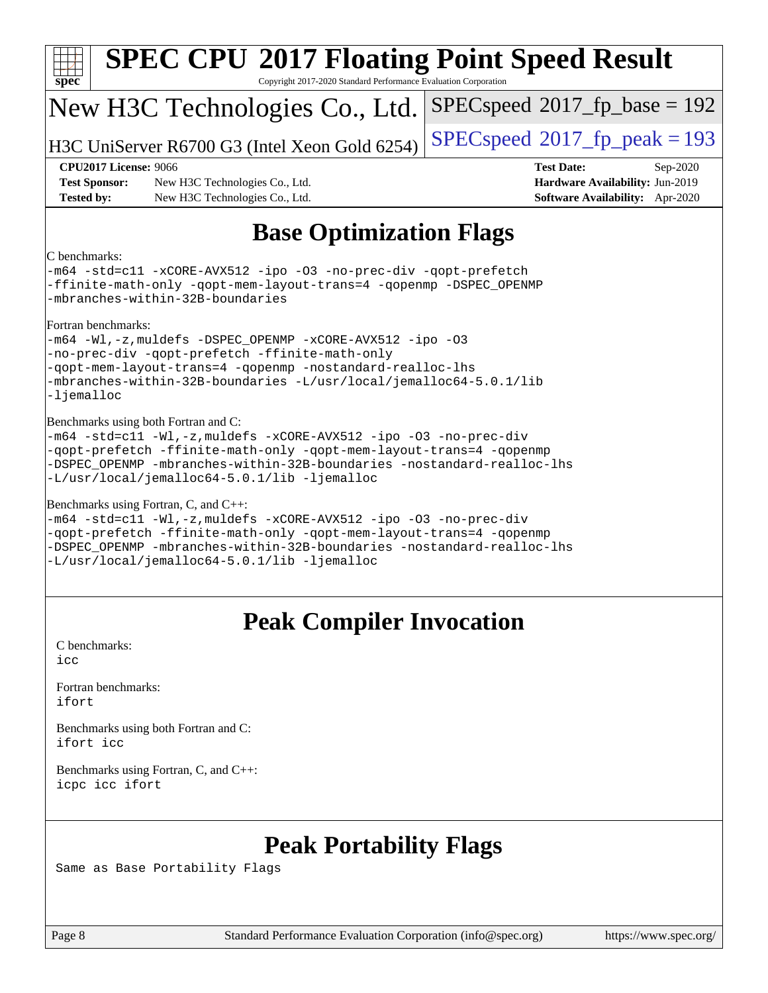| $spec^*$                                  | <b>SPEC CPU®2017 Floating Point Speed Result</b><br>Copyright 2017-2020 Standard Performance Evaluation Corporation                                                                                                                                                                                         |                                                                                                     |  |  |  |  |
|-------------------------------------------|-------------------------------------------------------------------------------------------------------------------------------------------------------------------------------------------------------------------------------------------------------------------------------------------------------------|-----------------------------------------------------------------------------------------------------|--|--|--|--|
|                                           | New H3C Technologies Co., Ltd.                                                                                                                                                                                                                                                                              | $SPEC speed^{\circ}2017\_fp\_base = 192$                                                            |  |  |  |  |
|                                           | H3C UniServer R6700 G3 (Intel Xeon Gold 6254)                                                                                                                                                                                                                                                               | $SPEC speed^{\circ}2017$ [p_peak = 193                                                              |  |  |  |  |
| <b>Test Sponsor:</b><br><b>Tested by:</b> | <b>CPU2017 License: 9066</b><br>New H3C Technologies Co., Ltd.<br>New H3C Technologies Co., Ltd.                                                                                                                                                                                                            | <b>Test Date:</b><br>Sep-2020<br>Hardware Availability: Jun-2019<br>Software Availability: Apr-2020 |  |  |  |  |
|                                           | <b>Base Optimization Flags</b>                                                                                                                                                                                                                                                                              |                                                                                                     |  |  |  |  |
| C benchmarks:                             | -m64 -std=cll -xCORE-AVX512 -ipo -03 -no-prec-div -qopt-prefetch<br>-ffinite-math-only -qopt-mem-layout-trans=4 -qopenmp -DSPEC_OPENMP<br>-mbranches-within-32B-boundaries                                                                                                                                  |                                                                                                     |  |  |  |  |
|                                           | Fortran benchmarks:<br>-m64 -Wl,-z, muldefs -DSPEC_OPENMP -xCORE-AVX512 -ipo -03<br>-no-prec-div -qopt-prefetch -ffinite-math-only<br>-qopt-mem-layout-trans=4 -qopenmp -nostandard-realloc-lhs<br>-mbranches-within-32B-boundaries -L/usr/local/jemalloc64-5.0.1/lib<br>-ljemalloc                         |                                                                                                     |  |  |  |  |
|                                           | Benchmarks using both Fortran and C:<br>-m64 -std=c11 -Wl,-z, muldefs -xCORE-AVX512 -ipo -03 -no-prec-div<br>-qopt-prefetch -ffinite-math-only -qopt-mem-layout-trans=4 -qopenmp<br>-DSPEC_OPENMP -mbranches-within-32B-boundaries -nostandard-realloc-lhs<br>-L/usr/local/jemalloc64-5.0.1/lib -ljemalloc  |                                                                                                     |  |  |  |  |
|                                           | Benchmarks using Fortran, C, and C++:<br>-m64 -std=c11 -Wl,-z, muldefs -xCORE-AVX512 -ipo -03 -no-prec-div<br>-qopt-prefetch -ffinite-math-only -qopt-mem-layout-trans=4 -qopenmp<br>-DSPEC OPENMP -mbranches-within-32B-boundaries -nostandard-realloc-lhs<br>-L/usr/local/jemalloc64-5.0.1/lib -ljemalloc |                                                                                                     |  |  |  |  |
|                                           | <b>Peak Compiler Invocation</b>                                                                                                                                                                                                                                                                             |                                                                                                     |  |  |  |  |
| C benchmarks:<br>icc                      |                                                                                                                                                                                                                                                                                                             |                                                                                                     |  |  |  |  |
| Fortran benchmarks:<br>ifort              |                                                                                                                                                                                                                                                                                                             |                                                                                                     |  |  |  |  |
| ifort icc                                 | Benchmarks using both Fortran and C:                                                                                                                                                                                                                                                                        |                                                                                                     |  |  |  |  |
| icpc icc ifort                            | Benchmarks using Fortran, C, and C++:                                                                                                                                                                                                                                                                       |                                                                                                     |  |  |  |  |
|                                           |                                                                                                                                                                                                                                                                                                             |                                                                                                     |  |  |  |  |

## **[Peak Portability Flags](http://www.spec.org/auto/cpu2017/Docs/result-fields.html#PeakPortabilityFlags)**

Same as Base Portability Flags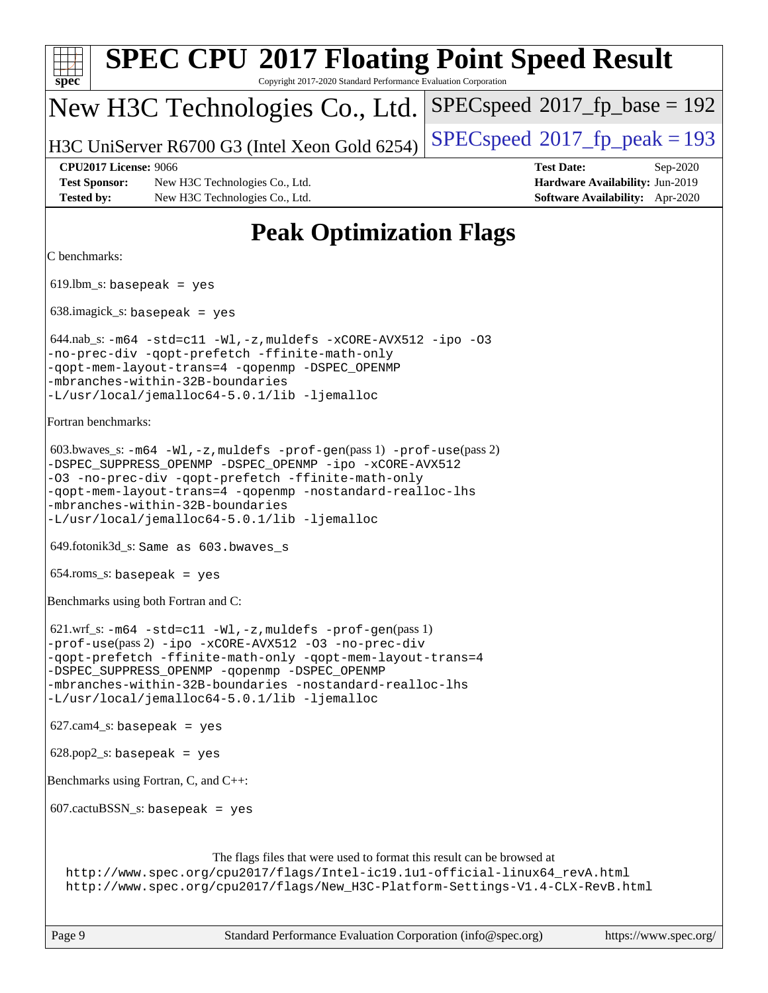| <b>SPEC CPU®2017 Floating Point Speed Result</b><br>Copyright 2017-2020 Standard Performance Evaluation Corporation<br>$spec^*$                                                                                                                                                                                                                                |                                                                                                     |
|----------------------------------------------------------------------------------------------------------------------------------------------------------------------------------------------------------------------------------------------------------------------------------------------------------------------------------------------------------------|-----------------------------------------------------------------------------------------------------|
| New H3C Technologies Co., Ltd.                                                                                                                                                                                                                                                                                                                                 | $SPEC speed^{\circ}2017$ fp base = 192                                                              |
| H3C UniServer R6700 G3 (Intel Xeon Gold 6254)                                                                                                                                                                                                                                                                                                                  | $SPEC speed^{\circ}2017$ _fp_peak = 193                                                             |
| <b>CPU2017 License: 9066</b><br><b>Test Sponsor:</b><br>New H3C Technologies Co., Ltd.<br><b>Tested by:</b><br>New H3C Technologies Co., Ltd.                                                                                                                                                                                                                  | <b>Test Date:</b><br>Sep-2020<br>Hardware Availability: Jun-2019<br>Software Availability: Apr-2020 |
| <b>Peak Optimization Flags</b>                                                                                                                                                                                                                                                                                                                                 |                                                                                                     |
| C benchmarks:                                                                                                                                                                                                                                                                                                                                                  |                                                                                                     |
| $619.$ lbm_s: basepeak = yes                                                                                                                                                                                                                                                                                                                                   |                                                                                                     |
| $638.\text{imagick_s: basepeak}$ = yes                                                                                                                                                                                                                                                                                                                         |                                                                                                     |
| $644.nab$ <sub>s</sub> : $-m64$ $-std=cl1$ $-Wl$ , $-z$ , muldefs $-xCORE$ -AVX512 $-ipo$ -03<br>-no-prec-div -qopt-prefetch -ffinite-math-only<br>-qopt-mem-layout-trans=4 -qopenmp -DSPEC_OPENMP<br>-mbranches-within-32B-boundaries<br>-L/usr/local/jemalloc64-5.0.1/lib -ljemalloc                                                                         |                                                                                                     |
| Fortran benchmarks:                                                                                                                                                                                                                                                                                                                                            |                                                                                                     |
| $603.bwaves$ $s: -m64 -W1, -z$ , muldefs $-prof-gen(pass 1) -prof-use(pass 2)$<br>-DSPEC_SUPPRESS_OPENMP -DSPEC_OPENMP -ipo -xCORE-AVX512<br>-03 -no-prec-div -qopt-prefetch -ffinite-math-only<br>-qopt-mem-layout-trans=4 -qopenmp -nostandard-realloc-lhs<br>-mbranches-within-32B-boundaries<br>-L/usr/local/jemalloc64-5.0.1/lib -ljemalloc               |                                                                                                     |
| 649.fotonik3d_s: Same as 603.bwaves_s                                                                                                                                                                                                                                                                                                                          |                                                                                                     |
| $654$ .roms_s: basepeak = yes                                                                                                                                                                                                                                                                                                                                  |                                                                                                     |
| Benchmarks using both Fortran and C:                                                                                                                                                                                                                                                                                                                           |                                                                                                     |
| $621.wrf_s$ : $-m64 - std = c11 - Wl$ , $-z$ , muldefs $-prof-gen(pass 1)$<br>-prof-use(pass 2) -ipo -xCORE-AVX512 -03 -no-prec-div<br>-qopt-prefetch -ffinite-math-only -qopt-mem-layout-trans=4<br>-DSPEC_SUPPRESS_OPENMP -qopenmp -DSPEC_OPENMP<br>-mbranches-within-32B-boundaries -nostandard-realloc-lhs<br>-L/usr/local/jemalloc64-5.0.1/lib -ljemalloc |                                                                                                     |
| $627.cam4_s$ : basepeak = yes                                                                                                                                                                                                                                                                                                                                  |                                                                                                     |
| $628.pop2_s: basepeak = yes$                                                                                                                                                                                                                                                                                                                                   |                                                                                                     |
| Benchmarks using Fortran, C, and C++:                                                                                                                                                                                                                                                                                                                          |                                                                                                     |
| $607.cactuBSSN_s$ : basepeak = yes                                                                                                                                                                                                                                                                                                                             |                                                                                                     |
| The flags files that were used to format this result can be browsed at<br>http://www.spec.org/cpu2017/flags/Intel-ic19.1u1-official-linux64_revA.html<br>http://www.spec.org/cpu2017/flags/New_H3C-Platform-Settings-V1.4-CLX-RevB.html                                                                                                                        |                                                                                                     |